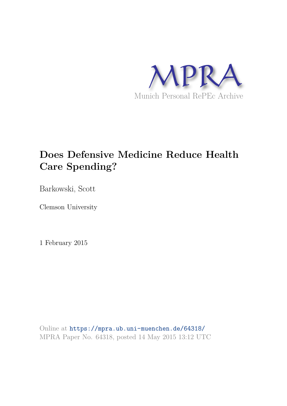

# **Does Defensive Medicine Reduce Health Care Spending?**

Barkowski, Scott

Clemson University

1 February 2015

Online at https://mpra.ub.uni-muenchen.de/64318/ MPRA Paper No. 64318, posted 14 May 2015 13:12 UTC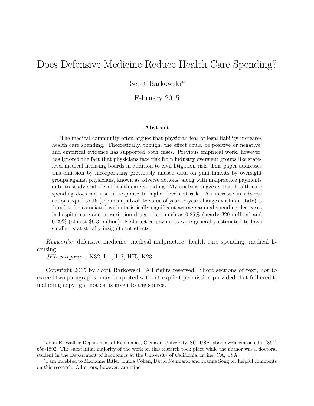# Does Defensive Medicine Reduce Health Care Spending?

Scott Barkowski∗†

February 2015

#### Abstract

The medical community often argues that physician fear of legal liability increases health care spending. Theoretically, though, the effect could be positive or negative, and empirical evidence has supported both cases. Previous empirical work, however, has ignored the fact that physicians face risk from industry oversight groups like statelevel medical licensing boards in addition to civil litigation risk. This paper addresses this omission by incorporating previously unused data on punishments by oversight groups against physicians, known as adverse actions, along with malpractice payments data to study state-level health care spending. My analysis suggests that health care spending does not rise in response to higher levels of risk. An increase in adverse actions equal to 16 (the mean, absolute value of year-to-year changes within a state) is found to be associated with statistically significant average annual spending decreases in hospital care and prescription drugs of as much as 0.25% (nearly \$29 million) and 0.29% (almost \$9.3 million). Malpractice payments were generally estimated to have smaller, statistically insignificant effects.

Keywords: defensive medicine; medical malpractice; health care spending; medical licensing

JEL categories: K32, I11, I18, H75, K23

Copyright 2015 by Scott Barkowski. All rights reserved. Short sections of text, not to exceed two paragraphs, may be quoted without explicit permission provided that full credit, including copyright notice, is given to the source.

<sup>∗</sup>John E. Walker Department of Economics, Clemson University, SC, USA, sbarkow@clemson.edu, (864) 656-1892. The substantial majority of the work on this research took place while the author was a doctoral student in the Department of Economics at the University of California, Irvine, CA, USA.

<sup>†</sup> I am indebted to Marianne Bitler, Linda Cohen, David Neumark, and Joanne Song for helpful comments on this research. All errors, however, are mine.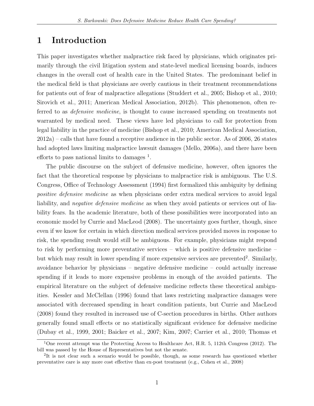### 1 Introduction

This paper investigates whether malpractice risk faced by physicians, which originates primarily through the civil litigation system and state-level medical licensing boards, induces changes in the overall cost of health care in the United States. The predominant belief in the medical field is that physicians are overly cautious in their treatment recommendations for patients out of fear of malpractice allegations (Studdert et al., 2005; Bishop et al., 2010; Sirovich et al., 2011; American Medical Association, 2012b). This phenomenon, often referred to as defensive medicine, is thought to cause increased spending on treatments not warranted by medical need. These views have led physicians to call for protection from legal liability in the practice of medicine (Bishop et al., 2010; American Medical Association, 2012a) – calls that have found a receptive audience in the public sector. As of 2006, 26 states had adopted laws limiting malpractice lawsuit damages (Mello, 2006a), and there have been efforts to pass national limits to damages  $<sup>1</sup>$ .</sup>

The public discourse on the subject of defensive medicine, however, often ignores the fact that the theoretical response by physicians to malpractice risk is ambiguous. The U.S. Congress, Office of Technology Assessment (1994) first formalized this ambiguity by defining positive defensive medicine as when physicians order extra medical services to avoid legal liability, and *negative defensive medicine* as when they avoid patients or services out of liability fears. In the academic literature, both of these possibilities were incorporated into an economic model by Currie and MacLeod (2008). The uncertainty goes further, though, since even if we know for certain in which direction medical services provided moves in response to risk, the spending result would still be ambiguous. For example, physicians might respond to risk by performing more preventative services – which is positive defensive medicine – but which may result in lower spending if more expensive services are prevented<sup>2</sup>. Similarly, avoidance behavior by physicians – negative defensive medicine – could actually increase spending if it leads to more expensive problems in enough of the avoided patients. The empirical literature on the subject of defensive medicine reflects these theoretical ambiguities. Kessler and McClellan (1996) found that laws restricting malpractice damages were associated with decreased spending in heart condition patients, but Currie and MacLeod (2008) found they resulted in increased use of C-section procedures in births. Other authors generally found small effects or no statistically significant evidence for defensive medicine (Dubay et al., 1999, 2001; Baicker et al., 2007; Kim, 2007; Carrier et al., 2010; Thomas et

<sup>&</sup>lt;sup>1</sup>One recent attempt was the Protecting Access to Healthcare Act, H.R. 5, 112th Congress (2012). The bill was passed by the House of Representatives but not the senate.

<sup>&</sup>lt;sup>2</sup>It is not clear such a scenario would be possible, though, as some research has questioned whether preventative care is any more cost effective than ex-post treatment (e.g., Cohen et al., 2008)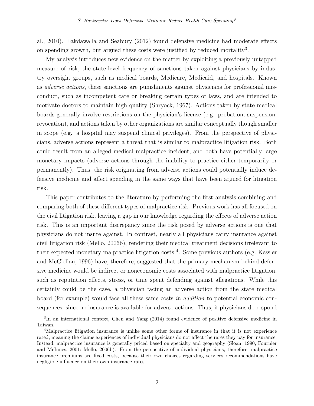al., 2010). Lakdawalla and Seabury (2012) found defensive medicine had moderate effects on spending growth, but argued these costs were justified by reduced mortality<sup>3</sup>.

My analysis introduces new evidence on the matter by exploiting a previously untapped measure of risk, the state-level frequency of sanctions taken against physicians by industry oversight groups, such as medical boards, Medicare, Medicaid, and hospitals. Known as adverse actions, these sanctions are punishments against physicians for professional misconduct, such as incompetent care or breaking certain types of laws, and are intended to motivate doctors to maintain high quality (Shryock, 1967). Actions taken by state medical boards generally involve restrictions on the physician's license (e.g. probation, suspension, revocation), and actions taken by other organizations are similar conceptually though smaller in scope (e.g. a hospital may suspend clinical privileges). From the perspective of physicians, adverse actions represent a threat that is similar to malpractice litigation risk. Both could result from an alleged medical malpractice incident, and both have potentially large monetary impacts (adverse actions through the inability to practice either temporarily or permanently). Thus, the risk originating from adverse actions could potentially induce defensive medicine and affect spending in the same ways that have been argued for litigation risk.

This paper contributes to the literature by performing the first analysis combining and comparing both of these different types of malpractice risk. Previous work has all focused on the civil litigation risk, leaving a gap in our knowledge regarding the effects of adverse action risk. This is an important discrepancy since the risk posed by adverse actions is one that physicians do not insure against. In contrast, nearly all physicians carry insurance against civil litigation risk (Mello, 2006b), rendering their medical treatment decisions irrelevant to their expected monetary malpractice litigation costs <sup>4</sup> . Some previous authors (e.g. Kessler and McClellan, 1996) have, therefore, suggested that the primary mechanism behind defensive medicine would be indirect or noneconomic costs associated with malpractice litigation, such as reputation effects, stress, or time spent defending against allegations. While this certainly could be the case, a physician facing an adverse action from the state medical board (for example) would face all these same costs in addition to potential economic consequences, since no insurance is available for adverse actions. Thus, if physicians do respond

<sup>3</sup> In an international context, Chen and Yang (2014) found evidence of positive defensive medicine in Taiwan.

<sup>4</sup>Malpractice litigation insurance is unlike some other forms of insurance in that it is not experience rated, meaning the claims experiences of individual physicians do not affect the rates they pay for insurance. Instead, malpractice insurance is generally priced based on specialty and geography (Sloan, 1990; Fournier and McInnes, 2001; Mello, 2006b). From the perspective of individual physicians, therefore, malpractice insurance premiums are fixed costs, because their own choices regarding services recommendations have negligible influence on their own insurance rates.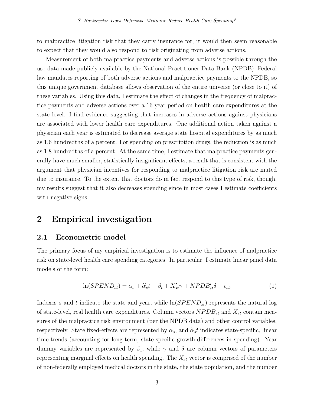to malpractice litigation risk that they carry insurance for, it would then seem reasonable to expect that they would also respond to risk originating from adverse actions.

Measurement of both malpractice payments and adverse actions is possible through the use data made publicly available by the National Practitioner Data Bank (NPDB). Federal law mandates reporting of both adverse actions and malpractice payments to the NPDB, so this unique government database allows observation of the entire universe (or close to it) of these variables. Using this data, I estimate the effect of changes in the frequency of malpractice payments and adverse actions over a 16 year period on health care expenditures at the state level. I find evidence suggesting that increases in adverse actions against physicians are associated with lower health care expenditures. One additional action taken against a physician each year is estimated to decrease average state hospital expenditures by as much as 1.6 hundredths of a percent. For spending on prescription drugs, the reduction is as much as 1.8 hundredths of a percent. At the same time, I estimate that malpractice payments generally have much smaller, statistically insignificant effects, a result that is consistent with the argument that physician incentives for responding to malpractice litigation risk are muted due to insurance. To the extent that doctors do in fact respond to this type of risk, though, my results suggest that it also decreases spending since in most cases I estimate coefficients with negative signs.

### 2 Empirical investigation

#### 2.1 Econometric model

The primary focus of my empirical investigation is to estimate the influence of malpractice risk on state-level health care spending categories. In particular, I estimate linear panel data models of the form:

$$
\ln(SPEND_{st}) = \alpha_s + \widetilde{\alpha}_s t + \beta_t + X'_{st}\gamma + NPDB'_{st}\delta + \epsilon_{st}.
$$
\n(1)

Indexes s and t indicate the state and year, while  $\ln(SPEND_{st})$  represents the natural log of state-level, real health care expenditures. Column vectors  $NPDB_{st}$  and  $X_{st}$  contain measures of the malpractice risk environment (per the NPDB data) and other control variables, respectively. State fixed-effects are represented by  $\alpha_s$ , and  $\tilde{\alpha}_s t$  indicates state-specific, linear time-trends (accounting for long-term, state-specific growth-differences in spending). Year dummy variables are represented by  $\beta_t$ , while  $\gamma$  and  $\delta$  are column vectors of parameters representing marginal effects on health spending. The  $X_{st}$  vector is comprised of the number of non-federally employed medical doctors in the state, the state population, and the number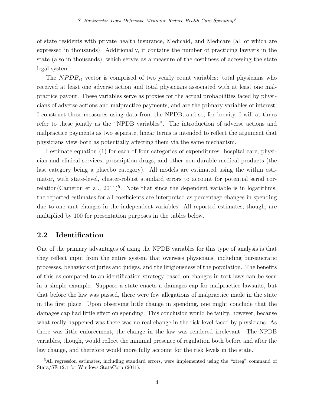of state residents with private health insurance, Medicaid, and Medicare (all of which are expressed in thousands). Additionally, it contains the number of practicing lawyers in the state (also in thousands), which serves as a measure of the costliness of accessing the state legal system.

The  $NPDB_{st}$  vector is comprised of two yearly count variables: total physicians who received at least one adverse action and total physicians associated with at least one malpractice payout. These variables serve as proxies for the actual probabilities faced by physicians of adverse actions and malpractice payments, and are the primary variables of interest. I construct these measures using data from the NPDB, and so, for brevity, I will at times refer to these jointly as the "NPDB variables". The introduction of adverse actions and malpractice payments as two separate, linear terms is intended to reflect the argument that physicians view both as potentially affecting them via the same mechanism.

I estimate equation (1) for each of four categories of expenditures: hospital care, physician and clinical services, prescription drugs, and other non-durable medical products (the last category being a placebo category). All models are estimated using the within estimator, with state-level, cluster-robust standard errors to account for potential serial correlation(Cameron et al.,  $2011$ <sup>5</sup>. Note that since the dependent variable is in logarithms, the reported estimates for all coefficients are interpreted as percentage changes in spending due to one unit changes in the independent variables. All reported estimates, though, are multiplied by 100 for presentation purposes in the tables below.

#### 2.2 Identification

One of the primary advantages of using the NPDB variables for this type of analysis is that they reflect input from the entire system that oversees physicians, including bureaucratic processes, behaviors of juries and judges, and the litigiousness of the population. The benefits of this as compared to an identification strategy based on changes in tort laws can be seen in a simple example. Suppose a state enacts a damages cap for malpractice lawsuits, but that before the law was passed, there were few allegations of malpractice made in the state in the first place. Upon observing little change in spending, one might conclude that the damages cap had little effect on spending. This conclusion would be faulty, however, because what really happened was there was no real change in the risk level faced by physicians. As there was little enforcement, the change in the law was rendered irrelevant. The NPDB variables, though, would reflect the minimal presence of regulation both before and after the law change, and therefore would more fully account for the risk levels in the state.

<sup>5</sup>All regression estimates, including standard errors, were implemented using the "xtreg" command of Stata/SE 12.1 for Windows StataCorp (2011).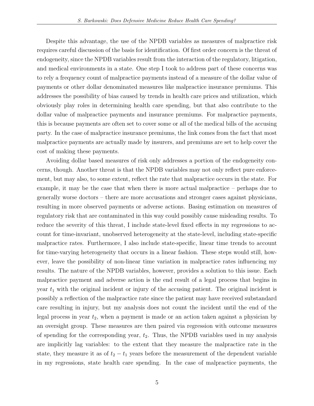Despite this advantage, the use of the NPDB variables as measures of malpractice risk requires careful discussion of the basis for identification. Of first order concern is the threat of endogeneity, since the NPDB variables result from the interaction of the regulatory, litigation, and medical environments in a state. One step I took to address part of these concerns was to rely a frequency count of malpractice payments instead of a measure of the dollar value of payments or other dollar denominated measures like malpractice insurance premiums. This addresses the possibility of bias caused by trends in health care prices and utilization, which obviously play roles in determining health care spending, but that also contribute to the dollar value of malpractice payments and insurance premiums. For malpractice payments, this is because payments are often set to cover some or all of the medical bills of the accusing party. In the case of malpractice insurance premiums, the link comes from the fact that most malpractice payments are actually made by insurers, and premiums are set to help cover the cost of making these payments.

Avoiding dollar based measures of risk only addresses a portion of the endogeneity concerns, though. Another threat is that the NPDB variables may not only reflect pure enforcement, but may also, to some extent, reflect the rate that malpractice occurs in the state. For example, it may be the case that when there is more actual malpractice – perhaps due to generally worse doctors – there are more accusations and stronger cases against physicians, resulting in more observed payments or adverse actions. Basing estimation on measures of regulatory risk that are contaminated in this way could possibly cause misleading results. To reduce the severity of this threat, I include state-level fixed effects in my regressions to account for time-invariant, unobserved heterogeneity at the state-level, including state-specific malpractice rates. Furthermore, I also include state-specific, linear time trends to account for time-varying heterogeneity that occurs in a linear fashion. These steps would still, however, leave the possibility of non-linear time variation in malpractice rates influencing my results. The nature of the NPDB variables, however, provides a solution to this issue. Each malpractice payment and adverse action is the end result of a legal process that begins in year  $t_1$  with the original incident or injury of the accusing patient. The original incident is possibly a reflection of the malpractice rate since the patient may have received substandard care resulting in injury, but my analysis does not count the incident until the end of the legal process in year  $t_2$ , when a payment is made or an action taken against a physician by an oversight group. These measures are then paired via regression with outcome measures of spending for the corresponding year,  $t_2$ . Thus, the NPDB variables used in my analysis are implicitly lag variables: to the extent that they measure the malpractice rate in the state, they measure it as of  $t_2 - t_1$  years before the measurement of the dependent variable in my regressions, state health care spending. In the case of malpractice payments, the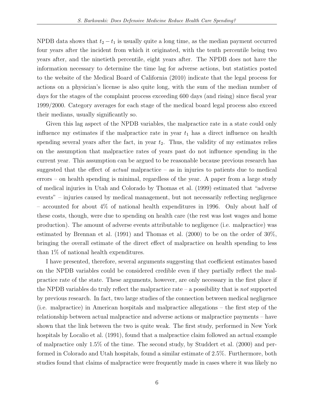NPDB data shows that  $t_2 - t_1$  is usually quite a long time, as the median payment occurred four years after the incident from which it originated, with the tenth percentile being two years after, and the ninetieth percentile, eight years after. The NPDB does not have the information necessary to determine the time lag for adverse actions, but statistics posted to the website of the Medical Board of California (2010) indicate that the legal process for actions on a physician's license is also quite long, with the sum of the median number of days for the stages of the complaint process exceeding 600 days (and rising) since fiscal year 1999/2000. Category averages for each stage of the medical board legal process also exceed their medians, usually significantly so.

Given this lag aspect of the NPDB variables, the malpractice rate in a state could only influence my estimates if the malpractice rate in year  $t_1$  has a direct influence on health spending several years after the fact, in year  $t_2$ . Thus, the validity of my estimates relies on the assumption that malpractice rates of years past do not influence spending in the current year. This assumption can be argued to be reasonable because previous research has suggested that the effect of *actual* malpractice – as in injuries to patients due to medical errors – on health spending is minimal, regardless of the year. A paper from a large study of medical injuries in Utah and Colorado by Thomas et al. (1999) estimated that "adverse events" – injuries caused by medical management, but not necessarily reflecting negligence – accounted for about 4% of national health expenditures in 1996. Only about half of these costs, though, were due to spending on health care (the rest was lost wages and home production). The amount of adverse events attributable to negligence (i.e. malpractice) was estimated by Brennan et al. (1991) and Thomas et al. (2000) to be on the order of 30%, bringing the overall estimate of the direct effect of malpractice on health spending to less than 1% of national health expenditures.

I have presented, therefore, several arguments suggesting that coefficient estimates based on the NPDB variables could be considered credible even if they partially reflect the malpractice rate of the state. These arguments, however, are only necessary in the first place if the NPDB variables do truly reflect the malpractice rate – a possibility that is not supported by previous research. In fact, two large studies of the connection between medical negligence (i.e. malpractice) in American hospitals and malpractice allegations – the first step of the relationship between actual malpractice and adverse actions or malpractice payments – have shown that the link between the two is quite weak. The first study, performed in New York hospitals by Localio et al. (1991), found that a malpractice claim followed an actual example of malpractice only 1.5% of the time. The second study, by Studdert et al. (2000) and performed in Colorado and Utah hospitals, found a similar estimate of 2.5%. Furthermore, both studies found that claims of malpractice were frequently made in cases where it was likely no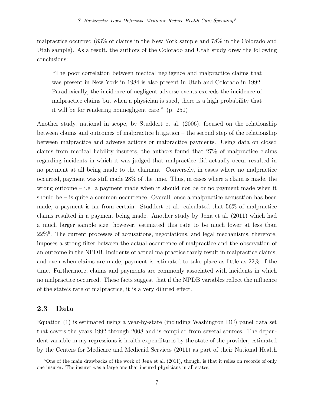malpractice occurred (83% of claims in the New York sample and 78% in the Colorado and Utah sample). As a result, the authors of the Colorado and Utah study drew the following conclusions:

"The poor correlation between medical negligence and malpractice claims that was present in New York in 1984 is also present in Utah and Colorado in 1992. Paradoxically, the incidence of negligent adverse events exceeds the incidence of malpractice claims but when a physician is sued, there is a high probability that it will be for rendering nonnegligent care." (p. 250)

Another study, national in scope, by Studdert et al. (2006), focused on the relationship between claims and outcomes of malpractice litigation – the second step of the relationship between malpractice and adverse actions or malpractice payments. Using data on closed claims from medical liability insurers, the authors found that 27% of malpractice claims regarding incidents in which it was judged that malpractice did actually occur resulted in no payment at all being made to the claimant. Conversely, in cases where no malpractice occurred, payment was still made 28% of the time. Thus, in cases where a claim is made, the wrong outcome – i.e. a payment made when it should not be or no payment made when it should be – is quite a common occurrence. Overall, once a malpractice accusation has been made, a payment is far from certain. Studdert et al. calculated that 56% of malpractice claims resulted in a payment being made. Another study by Jena et al. (2011) which had a much larger sample size, however, estimated this rate to be much lower at less than 22%<sup>6</sup> . The current processes of accusations, negotiations, and legal mechanisms, therefore, imposes a strong filter between the actual occurrence of malpractice and the observation of an outcome in the NPDB. Incidents of actual malpractice rarely result in malpractice claims, and even when claims are made, payment is estimated to take place as little as 22% of the time. Furthermore, claims and payments are commonly associated with incidents in which no malpractice occurred. These facts suggest that if the NPDB variables reflect the influence of the state's rate of malpractice, it is a very diluted effect.

#### 2.3 Data

Equation (1) is estimated using a year-by-state (including Washington DC) panel data set that covers the years 1992 through 2008 and is compiled from several sources. The dependent variable in my regressions is health expenditures by the state of the provider, estimated by the Centers for Medicare and Medicaid Services (2011) as part of their National Health

<sup>&</sup>lt;sup>6</sup>One of the main drawbacks of the work of Jena et al.  $(2011)$ , though, is that it relies on records of only one insurer. The insurer was a large one that insured physicians in all states.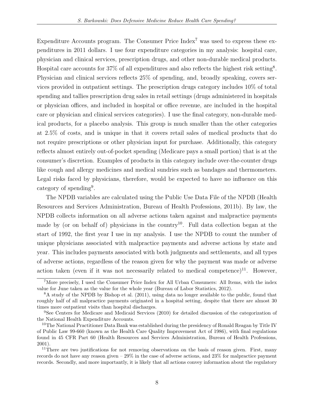Expenditure Accounts program. The Consumer Price  $Index^7$  was used to express these expenditures in 2011 dollars. I use four expenditure categories in my analysis: hospital care, physician and clinical services, prescription drugs, and other non-durable medical products. Hospital care accounts for 37% of all expenditures and also reflects the highest risk setting<sup>8</sup>. Physician and clinical services reflects 25% of spending, and, broadly speaking, covers services provided in outpatient settings. The prescription drugs category includes 10% of total spending and tallies prescription drug sales in retail settings (drugs administered in hospitals or physician offices, and included in hospital or office revenue, are included in the hospital care or physician and clinical services categories). I use the final category, non-durable medical products, for a placebo analysis. This group is much smaller than the other categories at 2.5% of costs, and is unique in that it covers retail sales of medical products that do not require prescriptions or other physician input for purchase. Additionally, this category reflects almost entirely out-of-pocket spending (Medicare pays a small portion) that is at the consumer's discretion. Examples of products in this category include over-the-counter drugs like cough and allergy medicines and medical sundries such as bandages and thermometers. Legal risks faced by physicians, therefore, would be expected to have no influence on this category of spending<sup>9</sup>.

The NPDB variables are calculated using the Public Use Data File of the NPDB (Health Resources and Services Administration, Bureau of Health Professions, 2011b). By law, the NPDB collects information on all adverse actions taken against and malpractice payments made by (or on behalf of) physicians in the country<sup>10</sup>. Full data collection began at the start of 1992, the first year I use in my analysis. I use the NPDB to count the number of unique physicians associated with malpractice payments and adverse actions by state and year. This includes payments associated with both judgments and settlements, and all types of adverse actions, regardless of the reason given for why the payment was made or adverse action taken (even if it was not necessarily related to medical competence)<sup>11</sup>. However,

<sup>7</sup>More precisely, I used the Consumer Price Index for All Urban Consumers: All Items, with the index value for June taken as the value for the whole year (Bureau of Labor Statistics, 2012).

<sup>8</sup>A study of the NPDB by Bishop et al. (2011), using data no longer available to the public, found that roughly half of all malpractice payments originated in a hospital setting, despite that there are almost 30 times more outpatient visits than hospital discharges.

<sup>9</sup>See Centers for Medicare and Medicaid Services (2010) for detailed discussion of the categorization of the National Health Expenditure Accounts.

<sup>&</sup>lt;sup>10</sup>The National Practitioner Data Bank was established during the presidency of Ronald Reagan by Title IV of Public Law 99-660 (known as the Health Care Quality Improvement Act of 1986), with final regulations found in 45 CFR Part 60 (Health Resources and Services Administration, Bureau of Health Professions, 2001).

<sup>&</sup>lt;sup>11</sup>There are two justifications for not removing observations on the basis of reason given. First, many records do not have any reason given – 29% in the case of adverse actions, and 23% for malpractice payment records. Secondly, and more importantly, it is likely that all actions convey information about the regulatory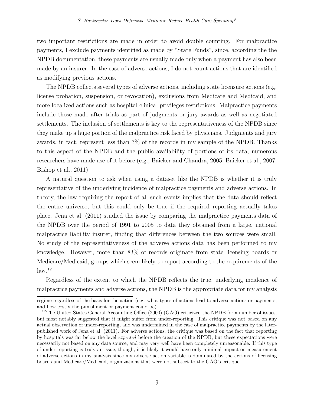two important restrictions are made in order to avoid double counting. For malpractice payments, I exclude payments identified as made by "State Funds", since, according the the NPDB documentation, these payments are usually made only when a payment has also been made by an insurer. In the case of adverse actions, I do not count actions that are identified as modifying previous actions.

The NPDB collects several types of adverse actions, including state licensure actions (e.g. license probation, suspension, or revocation), exclusions from Medicare and Medicaid, and more localized actions such as hospital clinical privileges restrictions. Malpractice payments include those made after trials as part of judgments or jury awards as well as negotiated settlements. The inclusion of settlements is key to the representativeness of the NPDB since they make up a huge portion of the malpractice risk faced by physicians. Judgments and jury awards, in fact, represent less than 3% of the records in my sample of the NPDB. Thanks to this aspect of the NPDB and the public availability of portions of its data, numerous researchers have made use of it before (e.g., Baicker and Chandra, 2005; Baicker et al., 2007; Bishop et al., 2011).

A natural question to ask when using a dataset like the NPDB is whether it is truly representative of the underlying incidence of malpractice payments and adverse actions. In theory, the law requiring the report of all such events implies that the data should reflect the entire universe, but this could only be true if the required reporting actually takes place. Jena et al. (2011) studied the issue by comparing the malpractice payments data of the NPDB over the period of 1991 to 2005 to data they obtained from a large, national malpractice liability insurer, finding that differences between the two sources were small. No study of the representativeness of the adverse actions data has been performed to my knowledge. However, more than 83% of records originate from state licensing boards or Medicare/Medicaid, groups which seem likely to report according to the requirements of the  $law.<sup>12</sup>$ 

Regardless of the extent to which the NPDB reflects the true, underlying incidence of malpractice payments and adverse actions, the NPDB is the appropriate data for my analysis

regime regardless of the basis for the action (e.g. what types of actions lead to adverse actions or payments, and how costly the punishment or payment could be).

<sup>&</sup>lt;sup>12</sup>The United States General Accounting Office  $(2000)$  (GAO) criticized the NPDB for a number of issues, but most notably suggested that it might suffer from under-reporting. This critique was not based on any actual observation of under-reporting, and was undermined in the case of malpractice payments by the laterpublished work of Jena et al. (2011). For adverse actions, the critique was based on the fact that reporting by hospitals was far below the level *expected* before the creation of the NPDB, but these expectations were necessarily not based on any data source, and may very well have been completely unreasonable. If this type of under-reporting is truly an issue, though, it is likely it would have only minimal impact on measurement of adverse actions in my analysis since my adverse action variable is dominated by the actions of licensing boards and Medicare/Medicaid, organizations that were not subject to the GAO's critique.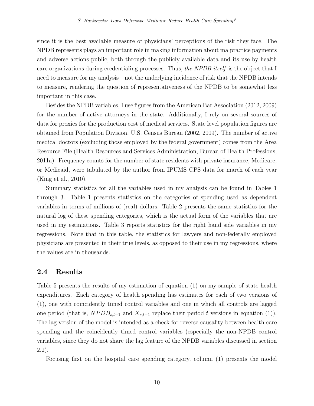since it is the best available measure of physicians' perceptions of the risk they face. The NPDB represents plays an important role in making information about malpractice payments and adverse actions public, both through the publicly available data and its use by health care organizations during credentialing processes. Thus, the NPDB itself is the object that I need to measure for my analysis – not the underlying incidence of risk that the NPDB intends to measure, rendering the question of representativeness of the NPDB to be somewhat less important in this case.

Besides the NPDB variables, I use figures from the American Bar Association (2012, 2009) for the number of active attorneys in the state. Additionally, I rely on several sources of data for proxies for the production cost of medical services. State level population figures are obtained from Population Division, U.S. Census Bureau (2002, 2009). The number of active medical doctors (excluding those employed by the federal government) comes from the Area Resource File (Health Resources and Services Administration, Bureau of Health Professions, 2011a). Frequency counts for the number of state residents with private insurance, Medicare, or Medicaid, were tabulated by the author from IPUMS CPS data for march of each year (King et al., 2010).

Summary statistics for all the variables used in my analysis can be found in Tables 1 through 3. Table 1 presents statistics on the categories of spending used as dependent variables in terms of millions of (real) dollars. Table 2 presents the same statistics for the natural log of these spending categories, which is the actual form of the variables that are used in my estimations. Table 3 reports statistics for the right hand side variables in my regressions. Note that in this table, the statistics for lawyers and non-federally employed physicians are presented in their true levels, as opposed to their use in my regressions, where the values are in thousands.

#### 2.4 Results

Table 5 presents the results of my estimation of equation (1) on my sample of state health expenditures. Each category of health spending has estimates for each of two versions of (1), one with coincidently timed control variables and one in which all controls are lagged one period (that is,  $NPDB_{s,t-1}$  and  $X_{s,t-1}$  replace their period t versions in equation (1)). The lag version of the model is intended as a check for reverse causality between health care spending and the coincidently timed control variables (especially the non-NPDB control variables, since they do not share the lag feature of the NPDB variables discussed in section 2.2).

Focusing first on the hospital care spending category, column (1) presents the model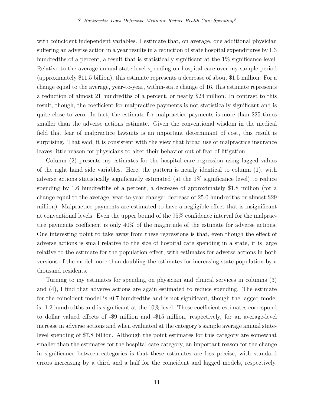with coincident independent variables. I estimate that, on average, one additional physician suffering an adverse action in a year results in a reduction of state hospital expenditures by 1.3 hundredths of a percent, a result that is statistically significant at the 1\% significance level. Relative to the average annual state-level spending on hospital care over my sample period (approximately \$11.5 billion), this estimate represents a decrease of about \$1.5 million. For a change equal to the average, year-to-year, within-state change of 16, this estimate represents a reduction of almost 21 hundredths of a percent, or nearly \$24 million. In contrast to this result, though, the coefficient for malpractice payments is not statistically significant and is quite close to zero. In fact, the estimate for malpractice payments is more than 225 times smaller than the adverse actions estimate. Given the conventional wisdom in the medical field that fear of malpractice lawsuits is an important determinant of cost, this result is surprising. That said, it is consistent with the view that broad use of malpractice insurance leaves little reason for physicians to alter their behavior out of fear of litigation.

Column (2) presents my estimates for the hospital care regression using lagged values of the right hand side variables. Here, the pattern is nearly identical to column (1), with adverse actions statistically significantly estimated (at the 1% significance level) to reduce spending by 1.6 hundredths of a percent, a decrease of approximately \$1.8 million (for a change equal to the average, year-to-year change: decrease of 25.0 hundredths or almost \$29 million). Malpractice payments are estimated to have a negligible effect that is insignificant at conventional levels. Even the upper bound of the 95% confidence interval for the malpractice payments coefficient is only 40% of the magnitude of the estimate for adverse actions. One interesting point to take away from these regressions is that, even though the effect of adverse actions is small relative to the size of hospital care spending in a state, it is large relative to the estimate for the population effect, with estimates for adverse actions in both versions of the model more than doubling the estimates for increasing state population by a thousand residents.

Turning to my estimates for spending on physician and clinical services in columns (3) and (4), I find that adverse actions are again estimated to reduce spending. The estimate for the coincident model is -0.7 hundredths and is not significant, though the lagged model is -1.2 hundredths and is significant at the 10% level. These coefficient estimates correspond to dollar valued effects of -\$9 million and -\$15 million, respectively, for an average-level increase in adverse actions and when evaluated at the category's sample average annual statelevel spending of \$7.8 billion. Although the point estimates for this category are somewhat smaller than the estimates for the hospital care category, an important reason for the change in significance between categories is that these estimates are less precise, with standard errors increasing by a third and a half for the coincident and lagged models, respectively.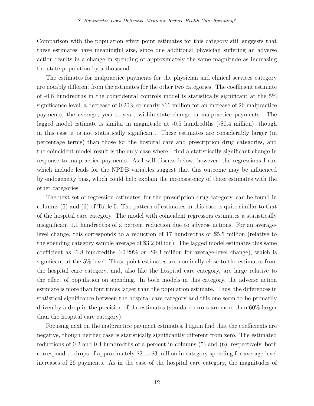Comparison with the population effect point estimates for this category still suggests that these estimates have meaningful size, since one additional physician suffering an adverse action results in a change in spending of approximately the same magnitude as increasing the state population by a thousand.

The estimates for malpractice payments for the physician and clinical services category are notably different from the estimates for the other two categories. The coefficient estimate of -0.8 hundredths in the coincidental controls model is statistically significant at the 5% significance level, a decrease of 0.20% or nearly \$16 million for an increase of 26 malpractice payments, the average, year-to-year, within-state change in malpractice payments. The lagged model estimate is similar in magnitude at  $-0.5$  hundredths  $(-1.604$  million), though in this case it is not statistically significant. These estimates are considerably larger (in percentage terms) than those for the hospital care and prescription drug categories, and the coincident model result is the only case where I find a statistically significant change in response to malpractice payments. As I will discuss below, however, the regressions I run which include leads for the NPDB variables suggest that this outcome may be influenced by endogeneity bias, which could help explain the inconsistency of these estimates with the other categories.

The next set of regression estimates, for the prescription drug category, can be found in columns (5) and (6) of Table 5. The pattern of estimates in this case is quite similar to that of the hospital care category. The model with coincident regressors estimates a statistically insignificant 1.1 hundredths of a percent reduction due to adverse actions. For an averagelevel change, this corresponds to a reduction of 17 hundredths or \$5.5 million (relative to the spending category sample average of \$3.2 billion). The lagged model estimates this same coefficient as -1.8 hundredths (-0.29% or -\$9.3 million for average-level change), which is significant at the 5% level. These point estimates are nominally close to the estimates from the hospital care category, and, also like the hospital care category, are large relative to the effect of population on spending. In both models in this category, the adverse action estimate is more than four times larger than the population estimate. Thus, the differences in statistical significance between the hospital care category and this one seem to be primarily driven by a drop in the precision of the estimates (standard errors are more than 60% larger than the hospital care category).

Focusing next on the malpractice payment estimates, I again find that the coefficients are negative, though neither case is statistically significantly different from zero. The estimated reductions of 0.2 and 0.4 hundredths of a percent in columns (5) and (6), respectively, both correspond to drops of approximately \$2 to \$3 million in category spending for average-level increases of 26 payments. As in the case of the hospital care category, the magnitudes of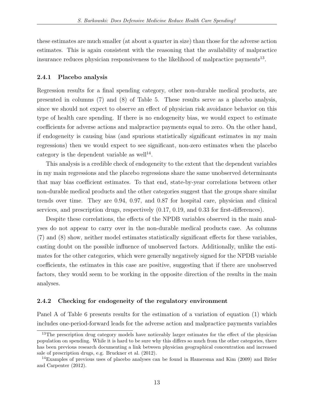these estimates are much smaller (at about a quarter in size) than those for the adverse action estimates. This is again consistent with the reasoning that the availability of malpractice insurance reduces physician responsiveness to the likelihood of malpractice payments<sup>13</sup>.

#### 2.4.1 Placebo analysis

Regression results for a final spending category, other non-durable medical products, are presented in columns (7) and (8) of Table 5. These results serve as a placebo analysis, since we should not expect to observe an effect of physician risk avoidance behavior on this type of health care spending. If there is no endogeneity bias, we would expect to estimate coefficients for adverse actions and malpractice payments equal to zero. On the other hand, if endogeneity is causing bias (and spurious statistically significant estimates in my main regressions) then we would expect to see significant, non-zero estimates when the placebo category is the dependent variable as well<sup>14</sup>.

This analysis is a credible check of endogeneity to the extent that the dependent variables in my main regressions and the placebo regressions share the same unobserved determinants that may bias coefficient estimates. To that end, state-by-year correlations between other non-durable medical products and the other categories suggest that the groups share similar trends over time. They are 0.94, 0.97, and 0.87 for hospital care, physician and clinical services, and prescription drugs, respectively (0.17, 0.19, and 0.33 for first-differences).

Despite these correlations, the effects of the NPDB variables observed in the main analyses do not appear to carry over in the non-durable medical products case. As columns (7) and (8) show, neither model estimates statistically significant effects for these variables, casting doubt on the possible influence of unobserved factors. Additionally, unlike the estimates for the other categories, which were generally negatively signed for the NPDB variable coefficients, the estimates in this case are positive, suggesting that if there are unobserved factors, they would seem to be working in the opposite direction of the results in the main analyses.

#### 2.4.2 Checking for endogeneity of the regulatory environment

Panel A of Table 6 presents results for the estimation of a variation of equation (1) which includes one-period-forward leads for the adverse action and malpractice payments variables

<sup>&</sup>lt;sup>13</sup>The prescription drug category models have noticeably larger estimates for the effect of the physician population on spending. While it is hard to be sure why this differs so much from the other categories, there has been previous research documenting a link between physician geographical concentration and increased sale of prescription drugs, e.g. Bruckner et al. (2012).

<sup>&</sup>lt;sup>14</sup>Examples of previous uses of placebo analyses can be found in Hamersma and Kim (2009) and Bitler and Carpenter (2012).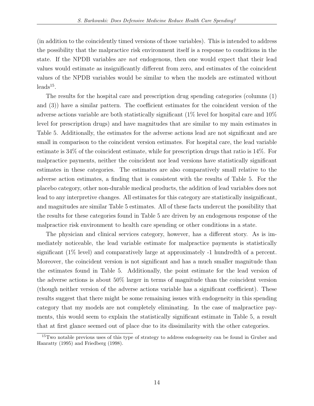(in addition to the coincidently timed versions of those variables). This is intended to address the possibility that the malpractice risk environment itself is a response to conditions in the state. If the NPDB variables are not endogenous, then one would expect that their lead values would estimate as insignificantly different from zero, and estimates of the coincident values of the NPDB variables would be similar to when the models are estimated without  $leads<sup>15</sup>.$ 

The results for the hospital care and prescription drug spending categories (columns (1) and (3)) have a similar pattern. The coefficient estimates for the coincident version of the adverse actions variable are both statistically significant (1% level for hospital care and 10% level for prescription drugs) and have magnitudes that are similar to my main estimates in Table 5. Additionally, the estimates for the adverse actions lead are not significant and are small in comparison to the coincident version estimates. For hospital care, the lead variable estimate is 34% of the coincident estimate, while for prescription drugs that ratio is 14%. For malpractice payments, neither the coincident nor lead versions have statistically significant estimates in these categories. The estimates are also comparatively small relative to the adverse action estimates, a finding that is consistent with the results of Table 5. For the placebo category, other non-durable medical products, the addition of lead variables does not lead to any interpretive changes. All estimates for this category are statistically insignificant, and magnitudes are similar Table 5 estimates. All of these facts undercut the possibility that the results for these categories found in Table 5 are driven by an endogenous response of the malpractice risk environment to health care spending or other conditions in a state.

The physician and clinical services category, however, has a different story. As is immediately noticeable, the lead variable estimate for malpractice payments is statistically significant (1% level) and comparatively large at approximately -1 hundredth of a percent. Moreover, the coincident version is not significant and has a much smaller magnitude than the estimates found in Table 5. Additionally, the point estimate for the lead version of the adverse actions is about 50% larger in terms of magnitude than the coincident version (though neither version of the adverse actions variable has a significant coefficient). These results suggest that there might be some remaining issues with endogeneity in this spending category that my models are not completely eliminating. In the case of malpractice payments, this would seem to explain the statistically significant estimate in Table 5, a result that at first glance seemed out of place due to its dissimilarity with the other categories.

<sup>15</sup>Two notable previous uses of this type of strategy to address endogeneity can be found in Gruber and Hanratty (1995) and Friedberg (1998).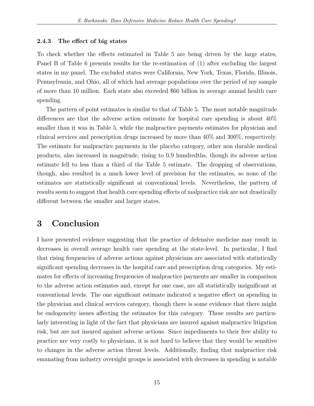#### 2.4.3 The effect of big states

To check whether the effects estimated in Table 5 are being driven by the large states, Panel B of Table 6 presents results for the re-estimation of (1) after excluding the largest states in my panel. The excluded states were California, New York, Texas, Florida, Illinois, Pennsylvania, and Ohio, all of which had average populations over the period of my sample of more than 10 million. Each state also exceeded \$66 billion in average annual health care spending.

The pattern of point estimates is similar to that of Table 5. The most notable magnitude differences are that the adverse action estimate for hospital care spending is about 40% smaller than it was in Table 5, while the malpractice payments estimates for physician and clinical services and prescription drugs increased by more than 40% and 300%, respectively. The estimate for malpractice payments in the placebo category, other non durable medical products, also increased in magnitude, rising to 0.9 hundredths, though its adverse action estimate fell to less than a third of the Table 5 estimate. The dropping of observations, though, also resulted in a much lower level of precision for the estimates, so none of the estimates are statistically significant at conventional levels. Nevertheless, the pattern of results seem to suggest that health care spending effects of malpractice risk are not drastically different between the smaller and larger states.

### 3 Conclusion

I have presented evidence suggesting that the practice of defensive medicine may result in decreases in overall average health care spending at the state-level. In particular, I find that rising frequencies of adverse actions against physicians are associated with statistically significant spending decreases in the hospital care and prescription drug categories. My estimates for effects of increasing frequencies of malpractice payments are smaller in comparison to the adverse action estimates and, except for one case, are all statistically insignificant at conventional levels. The one significant estimate indicated a negative effect on spending in the physician and clinical services category, though there is some evidence that there might be endogeneity issues affecting the estimates for this category. These results are particularly interesting in light of the fact that physicians are insured against malpractice litigation risk, but are not insured against adverse actions. Since impediments to their free ability to practice are very costly to physicians, it is not hard to believe that they would be sensitive to changes in the adverse action threat levels. Additionally, finding that malpractice risk emanating from industry oversight groups is associated with decreases in spending is notable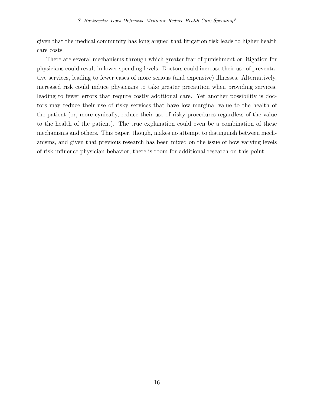given that the medical community has long argued that litigation risk leads to higher health care costs.

There are several mechanisms through which greater fear of punishment or litigation for physicians could result in lower spending levels. Doctors could increase their use of preventative services, leading to fewer cases of more serious (and expensive) illnesses. Alternatively, increased risk could induce physicians to take greater precaution when providing services, leading to fewer errors that require costly additional care. Yet another possibility is doctors may reduce their use of risky services that have low marginal value to the health of the patient (or, more cynically, reduce their use of risky procedures regardless of the value to the health of the patient). The true explanation could even be a combination of these mechanisms and others. This paper, though, makes no attempt to distinguish between mechanisms, and given that previous research has been mixed on the issue of how varying levels of risk influence physician behavior, there is room for additional research on this point.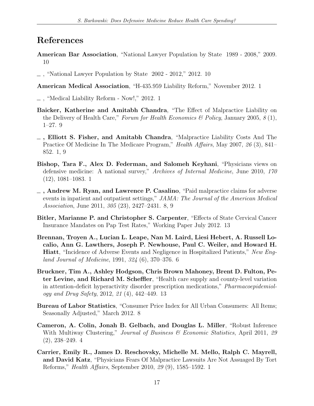## References

- American Bar Association, "National Lawyer Population by State 1989 2008," 2009. 10
- $\pm$ , "National Lawyer Population by State 2002 2012," 2012. 10

American Medical Association, "H-435.959 Liability Reform," November 2012. 1

- , "Medical Liability Reform Now!," 2012. 1
- Baicker, Katherine and Amitabh Chandra, "The Effect of Malpractice Liability on the Delivery of Health Care," Forum for Health Economics & Policy, January 2005,  $\mathcal{S}(1)$ , 1–27. 9
- , Elliott S. Fisher, and Amitabh Chandra, "Malpractice Liability Costs And The Practice Of Medicine In The Medicare Program," Health Affairs, May 2007, 26 (3), 841– 852. 1, 9
- Bishop, Tara F., Alex D. Federman, and Salomeh Keyhani, "Physicians views on defensive medicine: A national survey," Archives of Internal Medicine, June 2010, 170 (12), 1081–1083. 1
- $\overline{\phantom{a}}$ , Andrew M. Ryan, and Lawrence P. Casalino, "Paid malpractice claims for adverse events in inpatient and outpatient settings," JAMA: The Journal of the American Medical Association, June 2011, 305 (23), 2427–2431. 8, 9
- Bitler, Marianne P. and Christopher S. Carpenter, "Effects of State Cervical Cancer Insurance Mandates on Pap Test Rates," Working Paper July 2012. 13
- Brennan, Troyen A., Lucian L. Leape, Nan M. Laird, Liesi Hebert, A. Russell Localio, Ann G. Lawthers, Joseph P. Newhouse, Paul C. Weiler, and Howard H. Hiatt, "Incidence of Adverse Events and Negligence in Hospitalized Patients," New England Journal of Medicine, 1991, 324 (6), 370–376. 6
- Bruckner, Tim A., Ashley Hodgson, Chris Brown Mahoney, Brent D. Fulton, Peter Levine, and Richard M. Scheffler, "Health care supply and county-level variation in attention-deficit hyperactivity disorder prescription medications," Pharmacoepidemiology and Drug Safety, 2012, 21 (4), 442–449. 13
- Bureau of Labor Statistics, "Consumer Price Index for All Urban Consumers: All Items; Seasonally Adjusted," March 2012. 8
- Cameron, A. Colin, Jonah B. Gelbach, and Douglas L. Miller, "Robust Inference With Multiway Clustering," Journal of Business  $\mathscr B$  Economic Statistics, April 2011, 29 (2), 238–249. 4
- Carrier, Emily R., James D. Reschovsky, Michelle M. Mello, Ralph C. Mayrell, and David Katz, "Physicians Fears Of Malpractice Lawsuits Are Not Assuaged By Tort Reforms," Health Affairs, September 2010, 29 (9), 1585–1592. 1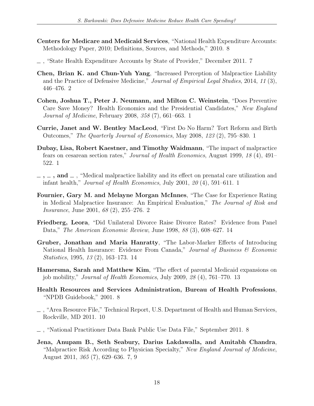- Centers for Medicare and Medicaid Services, "National Health Expenditure Accounts: Methodology Paper, 2010; Definitions, Sources, and Methods," 2010. 8
- $\sim$ , "State Health Expenditure Accounts by State of Provider," December 2011. 7
- Chen, Brian K. and Chun-Yuh Yang, "Increased Perception of Malpractice Liability and the Practice of Defensive Medicine," Journal of Empirical Legal Studies, 2014, 11 (3), 446–476. 2
- Cohen, Joshua T., Peter J. Neumann, and Milton C. Weinstein, "Does Preventive Care Save Money? Health Economics and the Presidential Candidates," New England Journal of Medicine, February 2008, 358 (7), 661–663. 1
- Currie, Janet and W. Bentley MacLeod, "First Do No Harm? Tort Reform and Birth Outcomes," The Quarterly Journal of Economics, May 2008, 123 (2), 795–830. 1
- Dubay, Lisa, Robert Kaestner, and Timothy Waidmann, "The impact of malpractice fears on cesarean section rates," Journal of Health Economics, August 1999, 18 (4), 491– 522. 1
- $\ldots$ ,  $\ldots$ , and  $\ldots$ , "Medical malpractice liability and its effect on prenatal care utilization and infant health," Journal of Health Economics, July 2001, 20 (4), 591–611. 1
- Fournier, Gary M. and Melayne Morgan McInnes, "The Case for Experience Rating in Medical Malpractice Insurance: An Empirical Evaluation," The Journal of Risk and Insurance, June 2001, 68 (2), 255–276. 2
- Friedberg, Leora, "Did Unilateral Divorce Raise Divorce Rates? Evidence from Panel Data," The American Economic Review, June 1998, 88 (3), 608–627. 14
- Gruber, Jonathan and Maria Hanratty, "The Labor-Marker Effects of Introducing National Health Insurance: Evidence From Canada," Journal of Business & Economic Statistics, 1995, 13 (2), 163–173. 14
- Hamersma, Sarah and Matthew Kim, "The effect of parental Medicaid expansions on job mobility," Journal of Health Economics, July 2009, 28 (4), 761–770. 13
- Health Resources and Services Administration, Bureau of Health Professions, "NPDB Guidebook," 2001. 8
- , "Area Resource File," Technical Report, U.S. Department of Health and Human Services, Rockville, MD 2011. 10
- , "National Practitioner Data Bank Public Use Data File," September 2011. 8
- Jena, Anupam B., Seth Seabury, Darius Lakdawalla, and Amitabh Chandra, "Malpractice Risk According to Physician Specialty," New England Journal of Medicine, August 2011, 365 (7), 629–636. 7, 9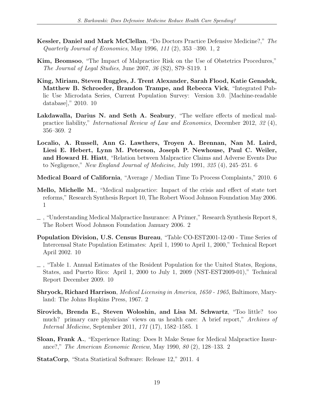- Kessler, Daniel and Mark McClellan, "Do Doctors Practice Defensive Medicine?," The Quarterly Journal of Economics, May 1996, 111 (2), 353 –390. 1, 2
- Kim, Beomsoo, "The Impact of Malpractice Risk on the Use of Obstetrics Procedures," The Journal of Legal Studies, June 2007, 36 (S2), S79–S119. 1
- King, Miriam, Steven Ruggles, J. Trent Alexander, Sarah Flood, Katie Genadek, Matthew B. Schroeder, Brandon Trampe, and Rebecca Vick, "Integrated Public Use Microdata Series, Current Population Survey: Version 3.0. [Machine-readable database]," 2010. 10
- Lakdawalla, Darius N. and Seth A. Seabury, "The welfare effects of medical malpractice liability," International Review of Law and Economics, December 2012, 32 (4), 356–369. 2
- Localio, A. Russell, Ann G. Lawthers, Troyen A. Brennan, Nan M. Laird, Liesi E. Hebert, Lynn M. Peterson, Joseph P. Newhouse, Paul C. Weiler, and Howard H. Hiatt, "Relation between Malpractice Claims and Adverse Events Due to Negligence," New England Journal of Medicine, July 1991, 325 (4), 245–251. 6
- Medical Board of California, "Average / Median Time To Process Complaints," 2010. 6
- Mello, Michelle M., "Medical malpractice: Impact of the crisis and effect of state tort reforms," Research Synthesis Report 10, The Robert Wood Johnson Foundation May 2006. 1
- , "Understanding Medical Malpractice Insurance: A Primer," Research Synthesis Report 8, The Robert Wood Johnson Foundation January 2006. 2
- Population Division, U.S. Census Bureau, "Table CO-EST2001-12-00 Time Series of Intercensal State Population Estimates: April 1, 1990 to April 1, 2000," Technical Report April 2002. 10
- , "Table 1. Annual Estimates of the Resident Population for the United States, Regions, States, and Puerto Rico: April 1, 2000 to July 1, 2009 (NST-EST2009-01)," Technical Report December 2009. 10
- Shryock, Richard Harrison, Medical Licensing in America, 1650 1965, Baltimore, Maryland: The Johns Hopkins Press, 1967. 2
- Sirovich, Brenda E., Steven Woloshin, and Lisa M. Schwartz, "Too little? too much? primary care physicians' views on us health care: A brief report," Archives of Internal Medicine, September 2011, 171 (17), 1582–1585. 1
- Sloan, Frank A., "Experience Rating: Does It Make Sense for Medical Malpractice Insurance?," The American Economic Review, May 1990, 80 (2), 128–133. 2

StataCorp, "Stata Statistical Software: Release 12," 2011. 4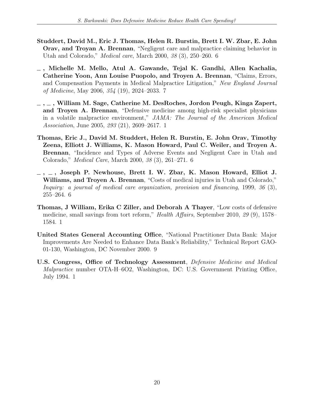- Studdert, David M., Eric J. Thomas, Helen R. Burstin, Brett I. W. Zbar, E. John Orav, and Troyan A. Brennan, "Negligent care and malpractice claiming behavior in Utah and Colorado," Medical care, March 2000, 38 (3), 250–260. 6
- , Michelle M. Mello, Atul A. Gawande, Tejal K. Gandhi, Allen Kachalia, Catherine Yoon, Ann Louise Puopolo, and Troyen A. Brennan, "Claims, Errors, and Compensation Payments in Medical Malpractice Litigation," New England Journal of Medicine, May 2006, 354 (19), 2024–2033. 7
- $, \ldots$ , William M. Sage, Catherine M. DesRoches, Jordon Peugh, Kinga Zapert, and Troyen A. Brennan, "Defensive medicine among high-risk specialist physicians in a volatile malpractice environment," JAMA: The Journal of the American Medical Association, June 2005, 293 (21), 2609–2617. 1
- Thomas, Eric J., David M. Studdert, Helen R. Burstin, E. John Orav, Timothy Zeena, Elliott J. Williams, K. Mason Howard, Paul C. Weiler, and Troyen A. Brennan, "Incidence and Types of Adverse Events and Negligent Care in Utah and Colorado," Medical Care, March 2000, 38 (3), 261–271. 6
- $-$ ,  $-$ , Joseph P. Newhouse, Brett I. W. Zbar, K. Mason Howard, Elliot J. Williams, and Troyen A. Brennan, "Costs of medical injuries in Utah and Colorado," Inquiry: a journal of medical care organization, provision and financing, 1999, 36 (3), 255–264. 6
- Thomas, J William, Erika C Ziller, and Deborah A Thayer, "Low costs of defensive medicine, small savings from tort reform," Health Affairs, September 2010, 29 (9), 1578– 1584. 1
- United States General Accounting Office, "National Practitioner Data Bank: Major Improvements Are Needed to Enhance Data Bank's Reliability," Technical Report GAO-01-130, Washington, DC November 2000. 9
- U.S. Congress, Office of Technology Assessment, Defensive Medicine and Medical Malpractice number OTA-H–6O2, Washington, DC: U.S. Government Printing Office, July 1994. 1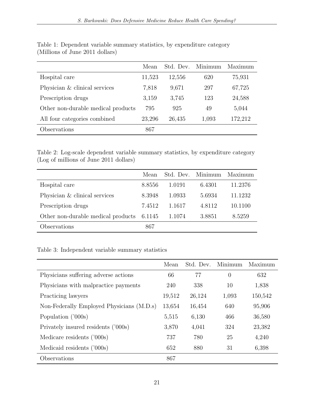|                                    | Mean   |        | Std. Dev. Minimum | Maximum |
|------------------------------------|--------|--------|-------------------|---------|
| Hospital care                      | 11,523 | 12,556 | 620               | 75,931  |
| Physician & clinical services      | 7,818  | 9,671  | 297               | 67,725  |
| Prescription drugs                 | 3,159  | 3,745  | 123               | 24,588  |
| Other non-durable medical products | 795    | 925    | 49                | 5,044   |
| All four categories combined       | 23,296 | 26,435 | 1,093             | 172,212 |
| Observations                       | 867    |        |                   |         |

Table 1: Dependent variable summary statistics, by expenditure category (Millions of June 2011 dollars)

Table 2: Log-scale dependent variable summary statistics, by expenditure category (Log of millions of June 2011 dollars)

|                                    | Mean   | Std. Dev. | Minimum | Maximum |
|------------------------------------|--------|-----------|---------|---------|
| Hospital care                      | 8.8556 | 1.0191    | 6.4301  | 11.2376 |
| Physician & clinical services      | 8.3948 | 1.0933    | 5.6934  | 11.1232 |
| Prescription drugs                 | 7.4512 | 1.1617    | 4.8112  | 10.1100 |
| Other non-durable medical products | 6.1145 | 1.1074    | 3.8851  | 8.5259  |
| Observations                       | 867    |           |         |         |

Table 3: Independent variable summary statistics

|                                           | Mean   | Std. Dev. | Minimum  | Maximum |
|-------------------------------------------|--------|-----------|----------|---------|
| Physicians suffering adverse actions      | 66     | 77        | $\theta$ | 632     |
| Physicians with malpractice payments      | 240    | 338       | 10       | 1,838   |
| Practicing lawyers                        | 19,512 | 26,124    | 1,093    | 150,542 |
| Non-Federally Employed Physicians (M.D.s) | 13,654 | 16,454    | 640      | 95,906  |
| Population ('000s)                        | 5,515  | 6,130     | 466      | 36,580  |
| Privately insured residents ('000s)       | 3,870  | 4,041     | 324      | 23,382  |
| Medicare residents ('000s)                | 737    | 780       | 25       | 4,240   |
| Medicaid residents ('000s)                | 652    | 880       | 31       | 6,398   |
| Observations                              | 867    |           |          |         |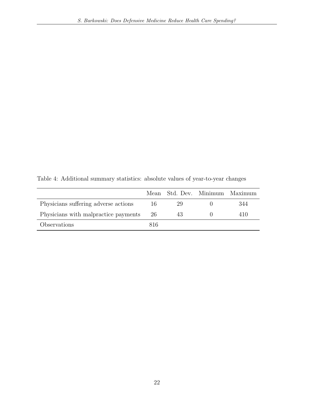Table 4: Additional summary statistics: absolute values of year-to-year changes

|                                      |     | Mean Std. Dev. Minimum Maximum |     |
|--------------------------------------|-----|--------------------------------|-----|
| Physicians suffering adverse actions | 16  | 29                             | 344 |
| Physicians with malpractice payments | -26 | 43                             | 410 |
| Observations                         | 816 |                                |     |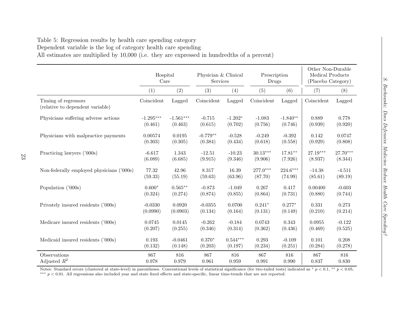# Table 5: Regression results by health care spending category

Dependent variable is the log of category health care spending

All estimates are multiplied by 10,000 (i.e. they are expressed in hundredths of a percent)

|                                                          | Hospital<br>Care                          |             | Physician & Clinical<br>Services |            | Prescription<br>Drugs |            | Other Non-Durable<br>Medical Products<br>(Placebo Category) |          |
|----------------------------------------------------------|-------------------------------------------|-------------|----------------------------------|------------|-----------------------|------------|-------------------------------------------------------------|----------|
|                                                          | (1)                                       | (2)         | (3)                              | (4)        | (5)                   | (6)        | (7)                                                         | (8)      |
| Timing of regressors<br>(relative to dependent variable) | $\label{eq:conjecture} \text{Coincident}$ | Lagged      | Coincident                       | Lagged     | Coincident            | Lagged     | Coincident                                                  | Lagged   |
| Physicians suffering adverse actions                     | $-1.295***$                               | $-1.561***$ | $-0.715$                         | $-1.202*$  | $-1.083$              | $-1.840**$ | 0.889                                                       | 0.778    |
|                                                          | (0.461)                                   | (0.463)     | (0.615)                          | (0.702)    | (0.756)               | (0.746)    | (0.939)                                                     | (0.920)  |
| Physicians with malpractice payments                     | 0.00574                                   | 0.0195      | $-0.779**$                       | $-0.528$   | $-0.249$              | $-0.392$   | 0.142                                                       | 0.0747   |
|                                                          | (0.303)                                   | (0.305)     | (0.384)                          | (0.434)    | (0.618)               | (0.558)    | (0.929)                                                     | (0.808)  |
| Practicing lawyers ('000s)                               | $-6.617$                                  | 1.343       | $-12.51$                         | $-10.23$   | $30.13***$            | $17.81**$  | 27.19***                                                    | 27.70*** |
|                                                          | (6.089)                                   | (6.685)     | (9.915)                          | (9.346)    | (9.906)               | (7.926)    | (8.937)                                                     | (8.344)  |
| Non-federally employed physicians ('000s)                | 77.32                                     | 42.96       | 8.317                            | 16.39      | 277.0***              | $224.6***$ | $-14.38$                                                    | $-4.511$ |
|                                                          | (59.33)                                   | (55.19)     | (59.63)                          | (63.96)    | (87.70)               | (74.99)    | (85.61)                                                     | (89.19)  |
| Population ('000s)                                       | $0.600*$                                  | $0.565**$   | $-0.873$                         | $-1.049$   | 0.267                 | 0.417      | 0.00400                                                     | $-0.603$ |
|                                                          | (0.324)                                   | (0.274)     | (0.874)                          | (0.855)    | (0.864)               | (0.731)    | (0.880)                                                     | (0.744)  |
| Privately insured residents ('000s)                      | $-0.0330$                                 | 0.0920      | $-0.0355$                        | 0.0700     | $0.241*$              | $0.277*$   | 0.331                                                       | 0.273    |
|                                                          | (0.0990)                                  | (0.0903)    | (0.134)                          | (0.164)    | (0.131)               | (0.149)    | (0.210)                                                     | (0.214)  |
| Medicare insured residents ('000s)                       | 0.0745                                    | 0.0145      | $-0.262$                         | $-0.184$   | 0.0743                | 0.343      | 0.0955                                                      | $-0.122$ |
|                                                          | (0.207)                                   | (0.255)     | (0.346)                          | (0.314)    | (0.362)               | (0.436)    | (0.469)                                                     | (0.525)  |
| Medicaid insured residents ('000s)                       | 0.193                                     | $-0.0461$   | $0.370*$                         | $0.544***$ | 0.293                 | $-0.109$   | 0.101                                                       | 0.208    |
|                                                          | (0.132)                                   | (0.148)     | (0.203)                          | (0.197)    | (0.234)               | (0.251)    | (0.284)                                                     | (0.278)  |
| Observations                                             | 867                                       | 816         | 867                              | 816        | 867                   | 816        | 867                                                         | 816      |
| Adjusted $R^2$                                           | 0.978                                     | 0.979       | 0.961                            | 0.959      | 0.991                 | 0.990      | 0.837                                                       | 0.830    |

Notes: Standard errors (clustered at state-level) in parentheses. Conventional levels of statistical significance (for two-tailed tests) indicated as \*  $p < 0.1$ , \*\*  $p < 0.05$ ,

∗∗∗ p < 0.01. All regressions also included year and state fixed effects and state-specific, linear time-trends that are not reported.